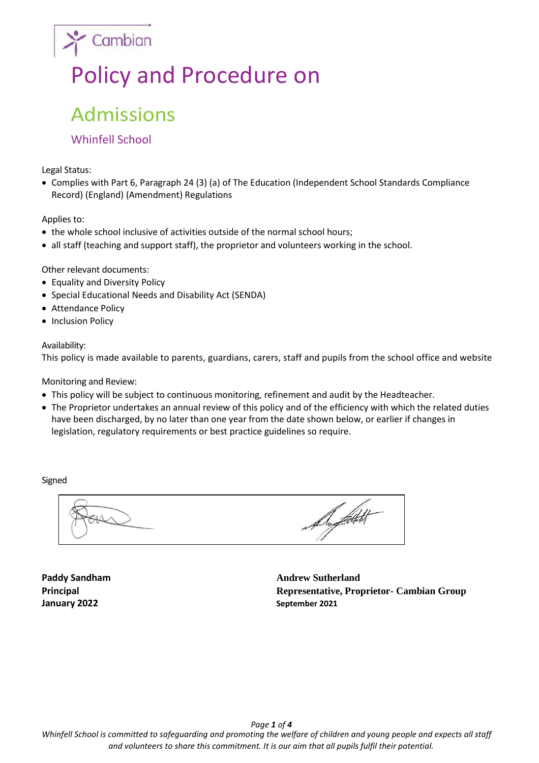# Policy and Procedure on

## Admissions

### Whinfell School

 $\sum$  Cambian

Legal Status:

• Complies with Part 6, Paragraph 24 (3) (a) of The Education (Independent School Standards Compliance Record) (England) (Amendment) Regulations

#### Applies to:

- the whole school inclusive of activities outside of the normal school hours;
- all staff (teaching and support staff), the proprietor and volunteers working in the school.

Other relevant documents:

- Equality and Diversity Policy
- Special Educational Needs and Disability Act (SENDA)
- Attendance Policy
- Inclusion Policy

#### Availability:

This policy is made available to parents, guardians, carers, staff and pupils from the school office and website

Monitoring and Review:

- This policy will be subject to continuous monitoring, refinement and audit by the Headteacher.
- The Proprietor undertakes an annual review of this policy and of the efficiency with which the related duties have been discharged, by no later than one year from the date shown below, or earlier if changes in legislation, regulatory requirements or best practice guidelines so require.

Signed

Support

**January 2022 September 2021** 

**Paddy Sandham Andrew Sutherland Principal Representative, Proprietor- Cambian Group**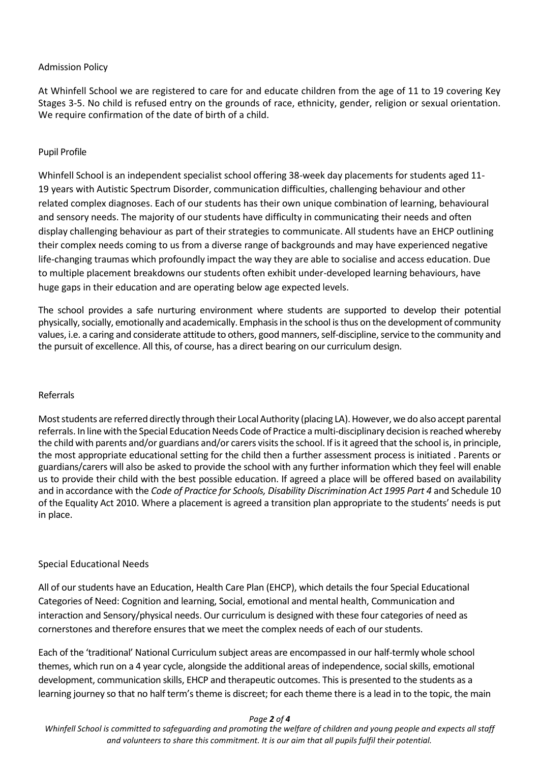#### Admission Policy

At Whinfell School we are registered to care for and educate children from the age of 11 to 19 covering Key Stages 3-5. No child is refused entry on the grounds of race, ethnicity, gender, religion or sexual orientation. We require confirmation of the date of birth of a child.

#### Pupil Profile

Whinfell School is an independent specialist school offering 38-week day placements for students aged 11- 19 years with Autistic Spectrum Disorder, communication difficulties, challenging behaviour and other related complex diagnoses. Each of our students has their own unique combination of learning, behavioural and sensory needs. The majority of our students have difficulty in communicating their needs and often display challenging behaviour as part of their strategies to communicate. All students have an EHCP outlining their complex needs coming to us from a diverse range of backgrounds and may have experienced negative life-changing traumas which profoundly impact the way they are able to socialise and access education. Due to multiple placement breakdowns our students often exhibit under-developed learning behaviours, have huge gaps in their education and are operating below age expected levels.

The school provides a safe nurturing environment where students are supported to develop their potential physically, socially, emotionally and academically. Emphasis in the school is thus on the development of community values, i.e. a caring and considerate attitude to others, good manners, self-discipline, service to the community and the pursuit of excellence. All this, of course, has a direct bearing on our curriculum design.

#### Referrals

Most students are referred directly through their Local Authority (placing LA). However, we do also accept parental referrals. In line with the Special Education Needs Code of Practice a multi-disciplinary decision is reached whereby the child with parents and/or guardians and/or carers visits the school. If is it agreed that the school is, in principle, the most appropriate educational setting for the child then a further assessment process is initiated . Parents or guardians/carers will also be asked to provide the school with any further information which they feel will enable us to provide their child with the best possible education. If agreed a place will be offered based on availability and in accordance with the *Code of Practice for Schools, Disability Discrimination Act 1995 Part 4* and Schedule 10 of the Equality Act 2010. Where a placement is agreed a transition plan appropriate to the students' needs is put in place.

#### Special Educational Needs

All of our students have an Education, Health Care Plan (EHCP), which details the four Special Educational Categories of Need: Cognition and learning, Social, emotional and mental health, Communication and interaction and Sensory/physical needs. Our curriculum is designed with these four categories of need as cornerstones and therefore ensures that we meet the complex needs of each of our students.

Each of the 'traditional' National Curriculum subject areas are encompassed in our half-termly whole school themes, which run on a 4 year cycle, alongside the additional areas of independence, social skills, emotional development, communication skills, EHCP and therapeutic outcomes. This is presented to the students as a learning journey so that no half term's theme is discreet; for each theme there is a lead in to the topic, the main

#### *Page 2 of 4*

*Whinfell School is committed to safeguarding and promoting the welfare of children and young people and expects all staff and volunteers to share this commitment. It is our aim that all pupils fulfil their potential.*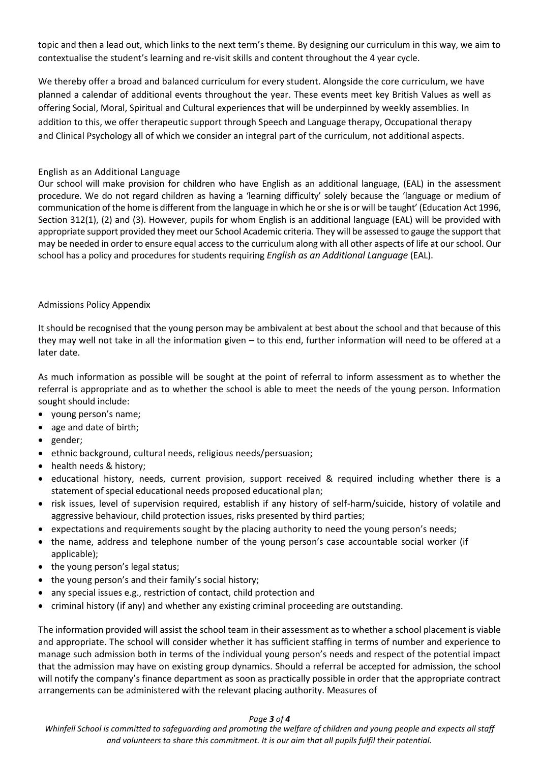topic and then a lead out, which links to the next term's theme. By designing our curriculum in this way, we aim to contextualise the student's learning and re-visit skills and content throughout the 4 year cycle.

We thereby offer a broad and balanced curriculum for every student. Alongside the core curriculum, we have planned a calendar of additional events throughout the year. These events meet key British Values as well as offering Social, Moral, Spiritual and Cultural experiences that will be underpinned by weekly assemblies. In addition to this, we offer therapeutic support through Speech and Language therapy, Occupational therapy and Clinical Psychology all of which we consider an integral part of the curriculum, not additional aspects.

#### English as an Additional Language

Our school will make provision for children who have English as an additional language, (EAL) in the assessment procedure. We do not regard children as having a 'learning difficulty' solely because the 'language or medium of communication of the home is different from the language in which he or she is or will be taught' (Education Act 1996, Section 312(1), (2) and (3). However, pupils for whom English is an additional language (EAL) will be provided with appropriate support provided they meet our School Academic criteria. They will be assessed to gauge the support that may be needed in order to ensure equal access to the curriculum along with all other aspects of life at our school. Our school has a policy and procedures for students requiring *English as an Additional Language* (EAL).

#### Admissions Policy Appendix

It should be recognised that the young person may be ambivalent at best about the school and that because of this they may well not take in all the information given – to this end, further information will need to be offered at a later date.

As much information as possible will be sought at the point of referral to inform assessment as to whether the referral is appropriate and as to whether the school is able to meet the needs of the young person. Information sought should include:

- young person's name;
- age and date of birth;
- gender;
- ethnic background, cultural needs, religious needs/persuasion;
- health needs & history;
- educational history, needs, current provision, support received & required including whether there is a statement of special educational needs proposed educational plan;
- risk issues, level of supervision required, establish if any history of self-harm/suicide, history of volatile and aggressive behaviour, child protection issues, risks presented by third parties;
- expectations and requirements sought by the placing authority to need the young person's needs;
- the name, address and telephone number of the young person's case accountable social worker (if applicable);
- the young person's legal status;
- the young person's and their family's social history;
- any special issues e.g., restriction of contact, child protection and
- criminal history (if any) and whether any existing criminal proceeding are outstanding.

The information provided will assist the school team in their assessment as to whether a school placement is viable and appropriate. The school will consider whether it has sufficient staffing in terms of number and experience to manage such admission both in terms of the individual young person's needs and respect of the potential impact that the admission may have on existing group dynamics. Should a referral be accepted for admission, the school will notify the company's finance department as soon as practically possible in order that the appropriate contract arrangements can be administered with the relevant placing authority. Measures of

#### *Page 3 of 4*